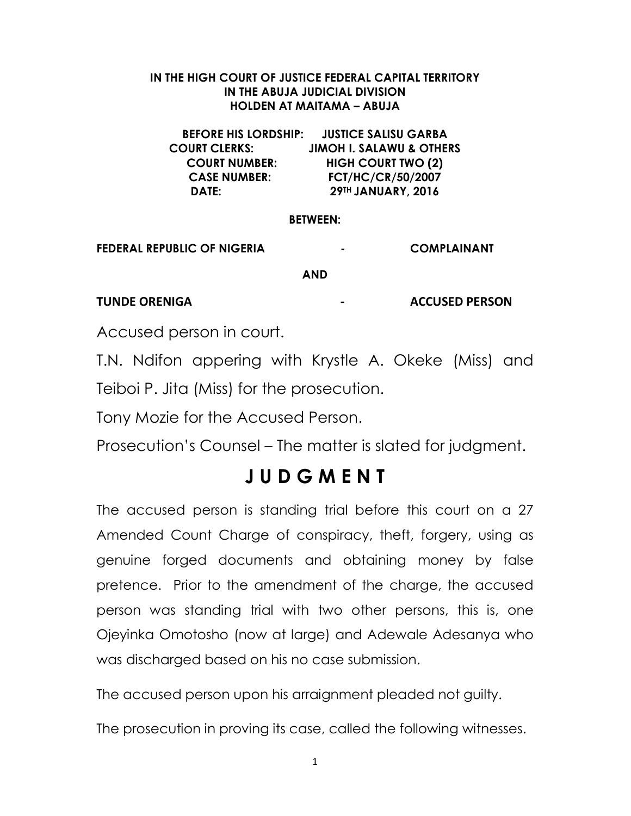#### IN THE HIGH COURT OF JUSTICE FEDERAL CAPITAL TERRITORY IN THE ABUJA JUDICIAL DIVISION HOLDEN AT MAITAMA – ABUJA

BEFORE HIS LORDSHIP: JUSTICE SALISU GARBA COURT CLERKS: JIMOH I. SALAWU & OTHERS COURT NUMBER: HIGH COURT TWO (2) CASE NUMBER: FCT/HC/CR/50/2007 DATE: 29TH JANUARY, 2016

#### BETWEEN:

FEDERAL REPUBLIC OF NIGERIA - COMPLAINANT

AND

TUNDE ORENIGA ACCUSED PERSON

Accused person in court.

T.N. Ndifon appering with Krystle A. Okeke (Miss) and Teiboi P. Jita (Miss) for the prosecution.

Tony Mozie for the Accused Person.

Prosecution's Counsel – The matter is slated for judgment.

# J U D G M E N T

The accused person is standing trial before this court on a 27 Amended Count Charge of conspiracy, theft, forgery, using as genuine forged documents and obtaining money by false pretence. Prior to the amendment of the charge, the accused person was standing trial with two other persons, this is, one Ojeyinka Omotosho (now at large) and Adewale Adesanya who was discharged based on his no case submission.

The accused person upon his arraignment pleaded not guilty.

The prosecution in proving its case, called the following witnesses.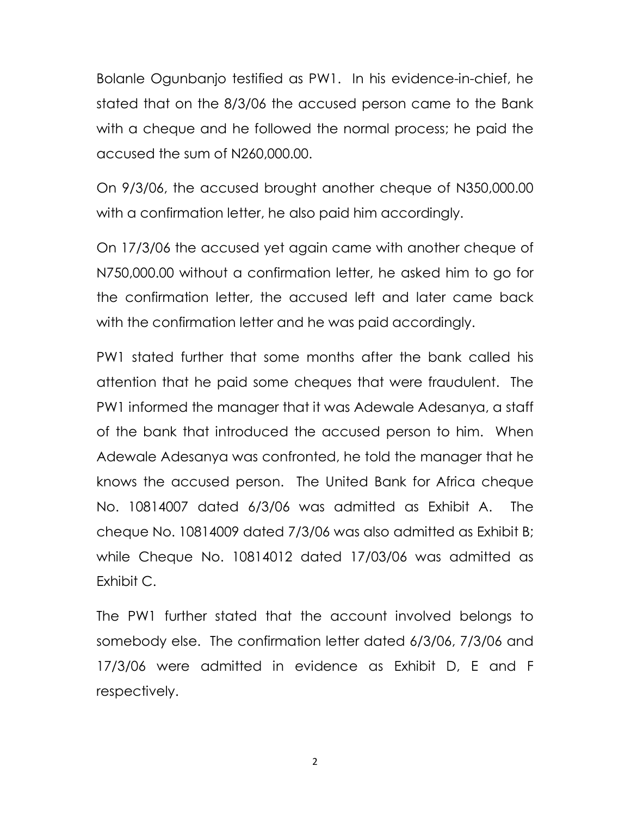Bolanle Ogunbanjo testified as PW1. In his evidence-in-chief, he stated that on the 8/3/06 the accused person came to the Bank with a cheque and he followed the normal process; he paid the accused the sum of N260,000.00.

On 9/3/06, the accused brought another cheque of N350,000.00 with a confirmation letter, he also paid him accordingly.

On 17/3/06 the accused yet again came with another cheque of N750,000.00 without a confirmation letter, he asked him to go for the confirmation letter, the accused left and later came back with the confirmation letter and he was paid accordingly.

PW1 stated further that some months after the bank called his attention that he paid some cheques that were fraudulent. The PW1 informed the manager that it was Adewale Adesanya, a staff of the bank that introduced the accused person to him. When Adewale Adesanya was confronted, he told the manager that he knows the accused person. The United Bank for Africa cheque No. 10814007 dated 6/3/06 was admitted as Exhibit A. The cheque No. 10814009 dated 7/3/06 was also admitted as Exhibit B; while Cheque No. 10814012 dated 17/03/06 was admitted as Exhibit C.

The PW1 further stated that the account involved belongs to somebody else. The confirmation letter dated 6/3/06, 7/3/06 and 17/3/06 were admitted in evidence as Exhibit D, E and F respectively.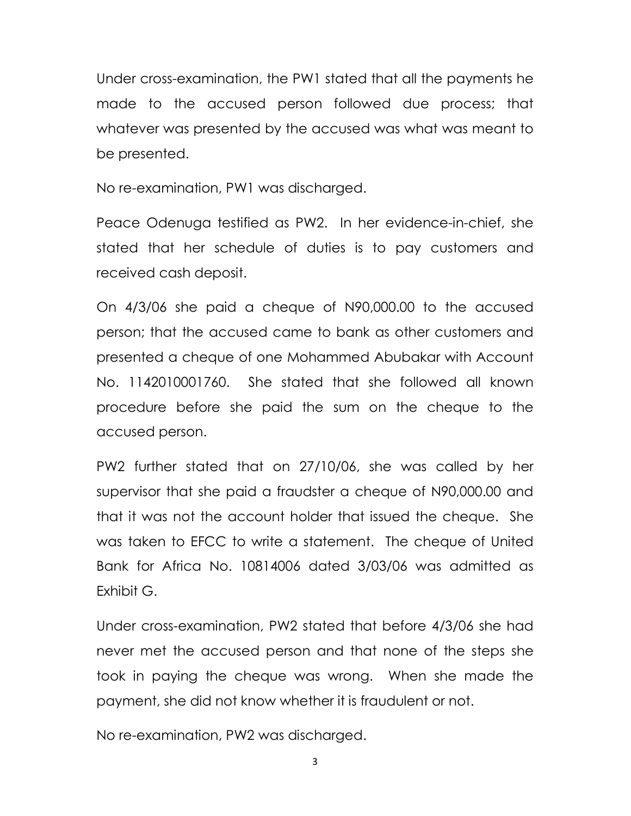Under cross-examination, the PW1 stated that all the payments he made to the accused person followed due process; that whatever was presented by the accused was what was meant to be presented.

No re-examination, PW1 was discharged.

Peace Odenuga testified as PW2. In her evidence-in-chief, she stated that her schedule of duties is to pay customers and received cash deposit.

On 4/3/06 she paid a cheque of N90,000.00 to the accused person; that the accused came to bank as other customers and presented a cheque of one Mohammed Abubakar with Account No. 1142010001760. She stated that she followed all known procedure before she paid the sum on the cheque to the accused person.

PW2 further stated that on 27/10/06, she was called by her supervisor that she paid a fraudster a cheque of N90,000.00 and that it was not the account holder that issued the cheque. She was taken to EFCC to write a statement. The cheque of United Bank for Africa No. 10814006 dated 3/03/06 was admitted as Exhibit G.

Under cross-examination, PW2 stated that before 4/3/06 she had never met the accused person and that none of the steps she took in paying the cheque was wrong. When she made the payment, she did not know whether it is fraudulent or not.

No re-examination, PW2 was discharged.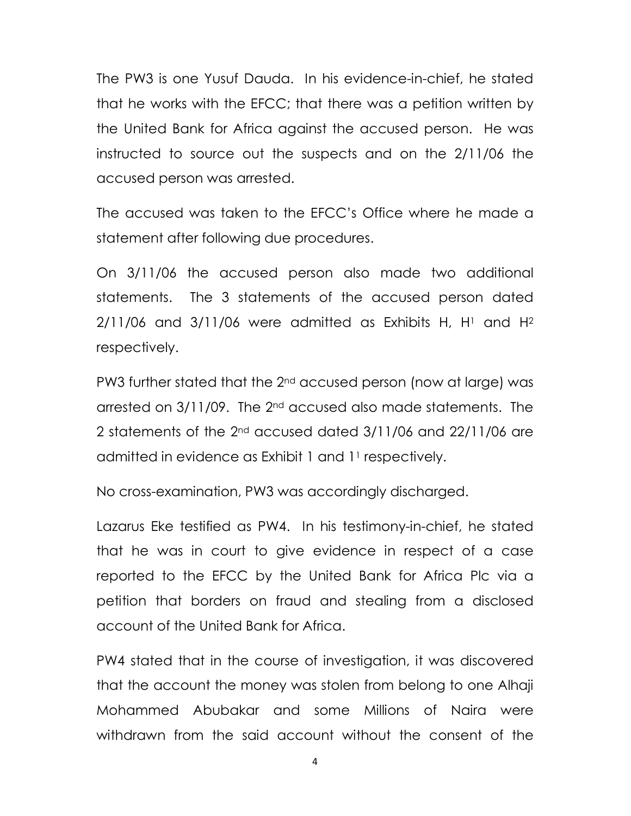The PW3 is one Yusuf Dauda. In his evidence-in-chief, he stated that he works with the EFCC; that there was a petition written by the United Bank for Africa against the accused person. He was instructed to source out the suspects and on the 2/11/06 the accused person was arrested.

The accused was taken to the EFCC's Office where he made a statement after following due procedures.

On 3/11/06 the accused person also made two additional statements. The 3 statements of the accused person dated  $2/11/06$  and  $3/11/06$  were admitted as Exhibits H, H<sup>1</sup> and H<sup>2</sup> respectively.

PW3 further stated that the 2nd accused person (now at large) was arrested on 3/11/09. The 2<sup>nd</sup> accused also made statements. The 2 statements of the 2nd accused dated 3/11/06 and 22/11/06 are admitted in evidence as Exhibit 1 and 11 respectively.

No cross-examination, PW3 was accordingly discharged.

Lazarus Eke testified as PW4. In his testimony-in-chief, he stated that he was in court to give evidence in respect of a case reported to the EFCC by the United Bank for Africa Plc via a petition that borders on fraud and stealing from a disclosed account of the United Bank for Africa.

PW4 stated that in the course of investigation, it was discovered that the account the money was stolen from belong to one Alhaji Mohammed Abubakar and some Millions of Naira were withdrawn from the said account without the consent of the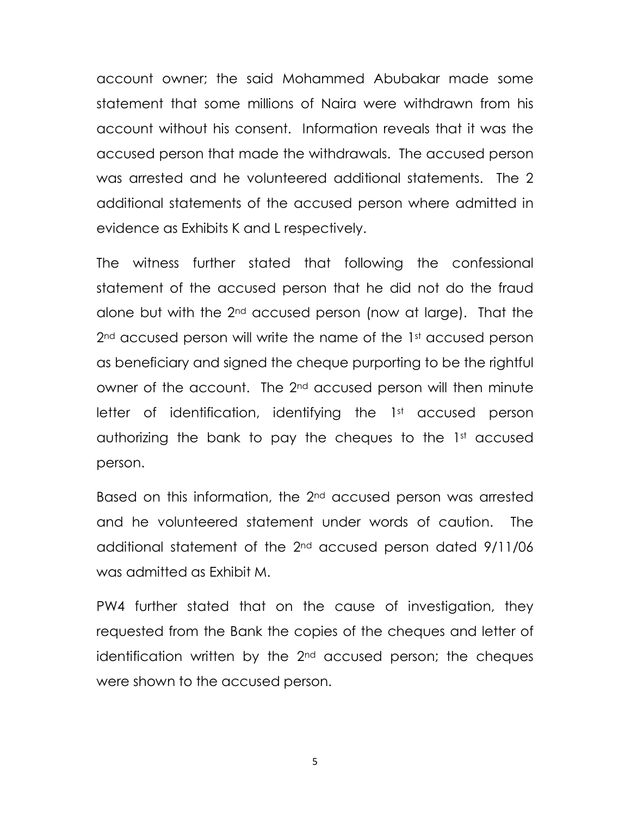account owner; the said Mohammed Abubakar made some statement that some millions of Naira were withdrawn from his account without his consent. Information reveals that it was the accused person that made the withdrawals. The accused person was arrested and he volunteered additional statements. The 2 additional statements of the accused person where admitted in evidence as Exhibits K and L respectively.

The witness further stated that following the confessional statement of the accused person that he did not do the fraud alone but with the 2nd accused person (now at large). That the 2<sup>nd</sup> accused person will write the name of the 1st accused person as beneficiary and signed the cheque purporting to be the rightful owner of the account. The 2<sup>nd</sup> accused person will then minute letter of identification, identifying the 1<sup>st</sup> accused person authorizing the bank to pay the cheques to the  $1<sup>st</sup>$  accused person.

Based on this information, the 2<sup>nd</sup> accused person was arrested and he volunteered statement under words of caution. The additional statement of the 2nd accused person dated 9/11/06 was admitted as Exhibit M.

PW4 further stated that on the cause of investigation, they requested from the Bank the copies of the cheques and letter of identification written by the 2<sup>nd</sup> accused person; the cheques were shown to the accused person.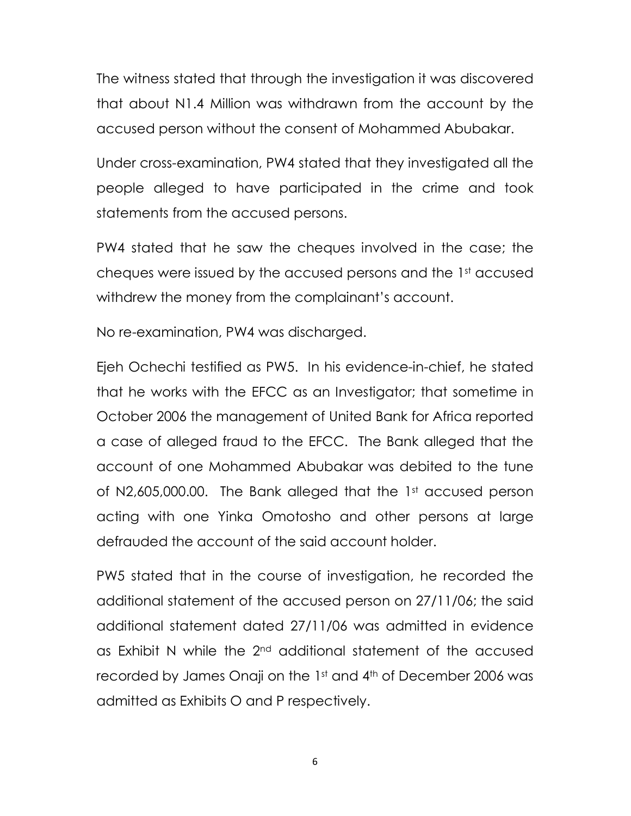The witness stated that through the investigation it was discovered that about N1.4 Million was withdrawn from the account by the accused person without the consent of Mohammed Abubakar.

Under cross-examination, PW4 stated that they investigated all the people alleged to have participated in the crime and took statements from the accused persons.

PW4 stated that he saw the cheques involved in the case; the cheques were issued by the accused persons and the 1st accused withdrew the money from the complainant's account.

No re-examination, PW4 was discharged.

Ejeh Ochechi testified as PW5. In his evidence-in-chief, he stated that he works with the EFCC as an Investigator; that sometime in October 2006 the management of United Bank for Africa reported a case of alleged fraud to the EFCC. The Bank alleged that the account of one Mohammed Abubakar was debited to the tune of N2,605,000.00. The Bank alleged that the 1st accused person acting with one Yinka Omotosho and other persons at large defrauded the account of the said account holder.

PW5 stated that in the course of investigation, he recorded the additional statement of the accused person on 27/11/06; the said additional statement dated 27/11/06 was admitted in evidence as Exhibit N while the 2nd additional statement of the accused recorded by James Onaji on the 1st and 4th of December 2006 was admitted as Exhibits O and P respectively.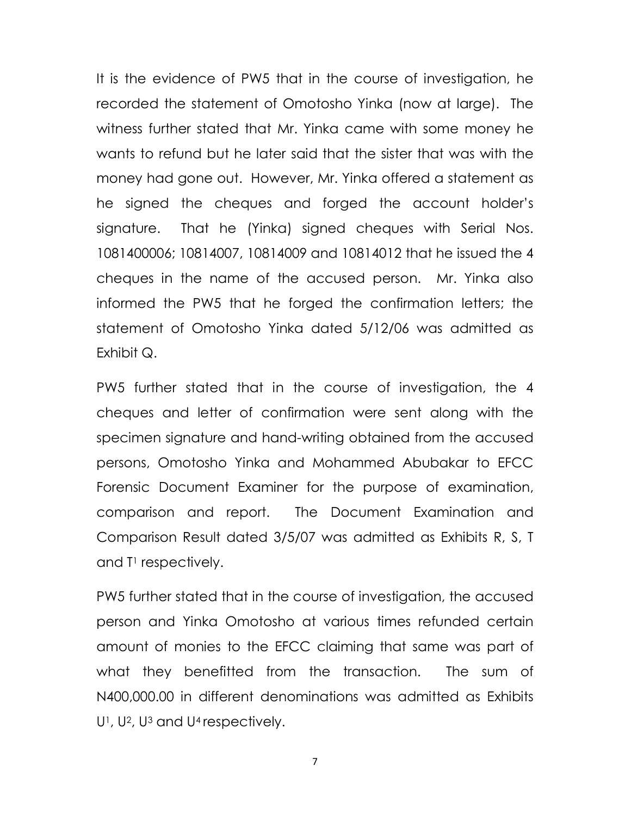It is the evidence of PW5 that in the course of investigation, he recorded the statement of Omotosho Yinka (now at large). The witness further stated that Mr. Yinka came with some money he wants to refund but he later said that the sister that was with the money had gone out. However, Mr. Yinka offered a statement as he signed the cheques and forged the account holder's signature. That he (Yinka) signed cheques with Serial Nos. 1081400006; 10814007, 10814009 and 10814012 that he issued the 4 cheques in the name of the accused person. Mr. Yinka also informed the PW5 that he forged the confirmation letters; the statement of Omotosho Yinka dated 5/12/06 was admitted as Exhibit Q.

PW5 further stated that in the course of investigation, the 4 cheques and letter of confirmation were sent along with the specimen signature and hand-writing obtained from the accused persons, Omotosho Yinka and Mohammed Abubakar to EFCC Forensic Document Examiner for the purpose of examination, comparison and report. The Document Examination and Comparison Result dated 3/5/07 was admitted as Exhibits R, S, T and T<sup>1</sup> respectively.

PW5 further stated that in the course of investigation, the accused person and Yinka Omotosho at various times refunded certain amount of monies to the EFCC claiming that same was part of what they benefitted from the transaction. The sum of N400,000.00 in different denominations was admitted as Exhibits U1, U2, U3 and U4 respectively.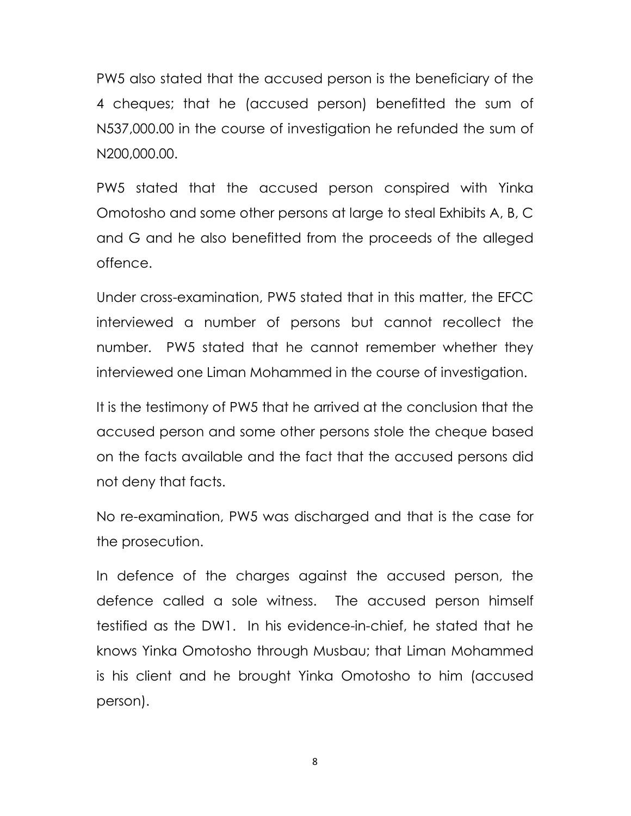PW5 also stated that the accused person is the beneficiary of the 4 cheques; that he (accused person) benefitted the sum of N537,000.00 in the course of investigation he refunded the sum of N200,000.00.

PW5 stated that the accused person conspired with Yinka Omotosho and some other persons at large to steal Exhibits A, B, C and G and he also benefitted from the proceeds of the alleged offence.

Under cross-examination, PW5 stated that in this matter, the EFCC interviewed a number of persons but cannot recollect the number. PW5 stated that he cannot remember whether they interviewed one Liman Mohammed in the course of investigation.

It is the testimony of PW5 that he arrived at the conclusion that the accused person and some other persons stole the cheque based on the facts available and the fact that the accused persons did not deny that facts.

No re-examination, PW5 was discharged and that is the case for the prosecution.

In defence of the charges against the accused person, the defence called a sole witness. The accused person himself testified as the DW1. In his evidence-in-chief, he stated that he knows Yinka Omotosho through Musbau; that Liman Mohammed is his client and he brought Yinka Omotosho to him (accused person).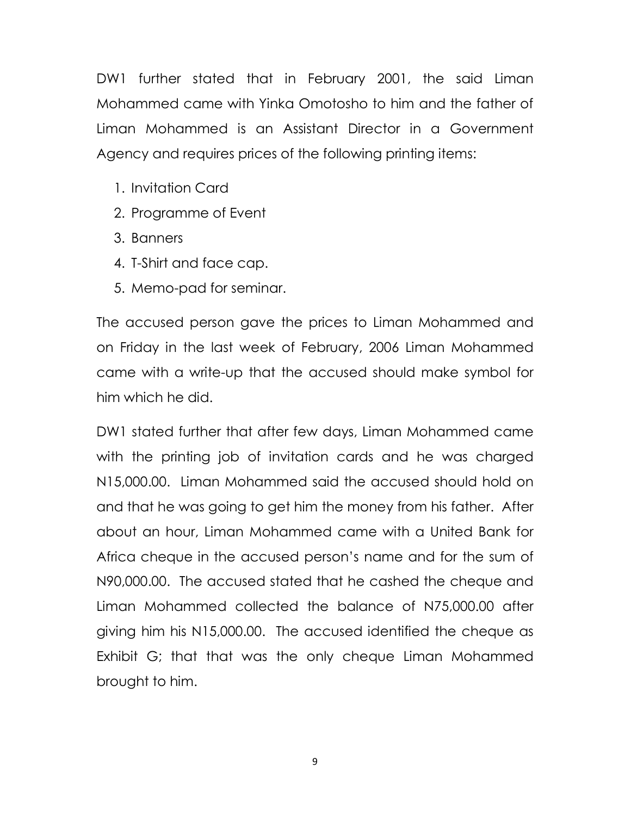DW1 further stated that in February 2001, the said Liman Mohammed came with Yinka Omotosho to him and the father of Liman Mohammed is an Assistant Director in a Government Agency and requires prices of the following printing items:

- 1. Invitation Card
- 2. Programme of Event
- 3. Banners
- 4. T-Shirt and face cap.
- 5. Memo-pad for seminar.

The accused person gave the prices to Liman Mohammed and on Friday in the last week of February, 2006 Liman Mohammed came with a write-up that the accused should make symbol for him which he did.

DW1 stated further that after few days, Liman Mohammed came with the printing job of invitation cards and he was charged N15,000.00. Liman Mohammed said the accused should hold on and that he was going to get him the money from his father. After about an hour, Liman Mohammed came with a United Bank for Africa cheque in the accused person's name and for the sum of N90,000.00. The accused stated that he cashed the cheque and Liman Mohammed collected the balance of N75,000.00 after giving him his N15,000.00. The accused identified the cheque as Exhibit G; that that was the only cheque Liman Mohammed brought to him.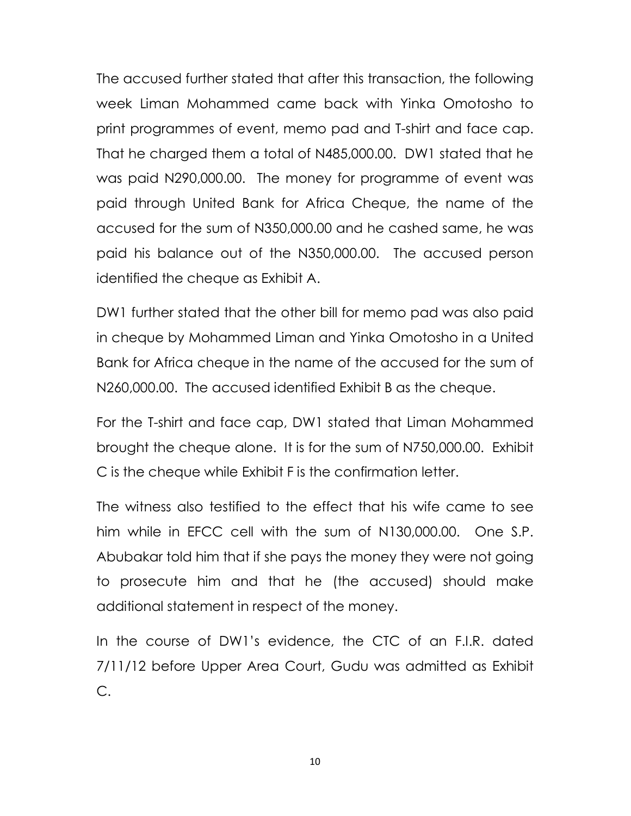The accused further stated that after this transaction, the following week Liman Mohammed came back with Yinka Omotosho to print programmes of event, memo pad and T-shirt and face cap. That he charged them a total of N485,000.00. DW1 stated that he was paid N290,000.00. The money for programme of event was paid through United Bank for Africa Cheque, the name of the accused for the sum of N350,000.00 and he cashed same, he was paid his balance out of the N350,000.00. The accused person identified the cheque as Exhibit A.

DW1 further stated that the other bill for memo pad was also paid in cheque by Mohammed Liman and Yinka Omotosho in a United Bank for Africa cheque in the name of the accused for the sum of N260,000.00. The accused identified Exhibit B as the cheque.

For the T-shirt and face cap, DW1 stated that Liman Mohammed brought the cheque alone. It is for the sum of N750,000.00. Exhibit C is the cheque while Exhibit F is the confirmation letter.

The witness also testified to the effect that his wife came to see him while in EFCC cell with the sum of N130,000.00. One S.P. Abubakar told him that if she pays the money they were not going to prosecute him and that he (the accused) should make additional statement in respect of the money.

In the course of DW1's evidence, the CTC of an F.I.R. dated 7/11/12 before Upper Area Court, Gudu was admitted as Exhibit C.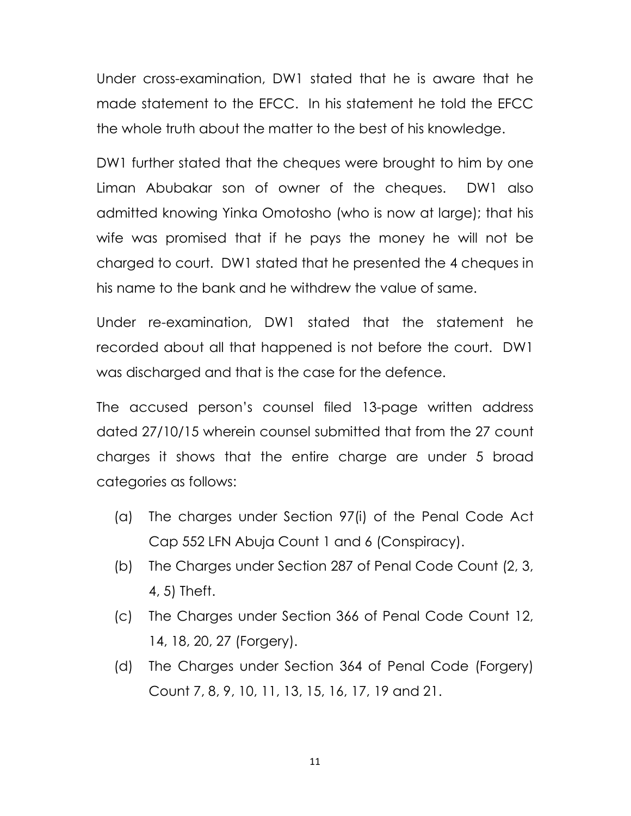Under cross-examination, DW1 stated that he is aware that he made statement to the EFCC. In his statement he told the EFCC the whole truth about the matter to the best of his knowledge.

DW1 further stated that the cheques were brought to him by one Liman Abubakar son of owner of the cheques. DW1 also admitted knowing Yinka Omotosho (who is now at large); that his wife was promised that if he pays the money he will not be charged to court. DW1 stated that he presented the 4 cheques in his name to the bank and he withdrew the value of same.

Under re-examination, DW1 stated that the statement he recorded about all that happened is not before the court. DW1 was discharged and that is the case for the defence.

The accused person's counsel filed 13-page written address dated 27/10/15 wherein counsel submitted that from the 27 count charges it shows that the entire charge are under 5 broad categories as follows:

- (a) The charges under Section 97(i) of the Penal Code Act Cap 552 LFN Abuja Count 1 and 6 (Conspiracy).
- (b) The Charges under Section 287 of Penal Code Count (2, 3, 4, 5) Theft.
- (c) The Charges under Section 366 of Penal Code Count 12, 14, 18, 20, 27 (Forgery).
- (d) The Charges under Section 364 of Penal Code (Forgery) Count 7, 8, 9, 10, 11, 13, 15, 16, 17, 19 and 21.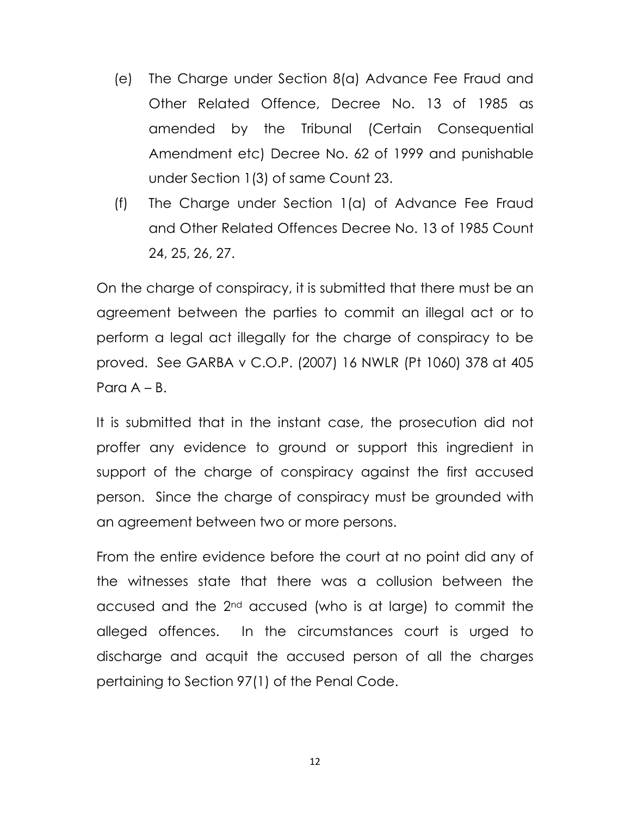- (e) The Charge under Section 8(a) Advance Fee Fraud and Other Related Offence, Decree No. 13 of 1985 as amended by the Tribunal (Certain Consequential Amendment etc) Decree No. 62 of 1999 and punishable under Section 1(3) of same Count 23.
- (f) The Charge under Section 1(a) of Advance Fee Fraud and Other Related Offences Decree No. 13 of 1985 Count 24, 25, 26, 27.

On the charge of conspiracy, it is submitted that there must be an agreement between the parties to commit an illegal act or to perform a legal act illegally for the charge of conspiracy to be proved. See GARBA v C.O.P. (2007) 16 NWLR (Pt 1060) 378 at 405 Para  $A - B$ .

It is submitted that in the instant case, the prosecution did not proffer any evidence to ground or support this ingredient in support of the charge of conspiracy against the first accused person. Since the charge of conspiracy must be grounded with an agreement between two or more persons.

From the entire evidence before the court at no point did any of the witnesses state that there was a collusion between the accused and the 2nd accused (who is at large) to commit the alleged offences. In the circumstances court is urged to discharge and acquit the accused person of all the charges pertaining to Section 97(1) of the Penal Code.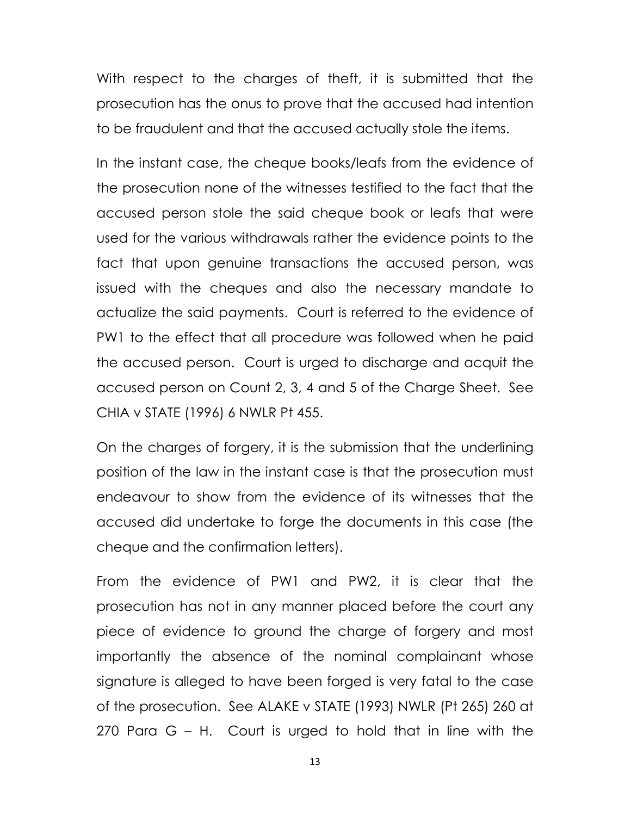With respect to the charges of theft, it is submitted that the prosecution has the onus to prove that the accused had intention to be fraudulent and that the accused actually stole the items.

In the instant case, the cheque books/leafs from the evidence of the prosecution none of the witnesses testified to the fact that the accused person stole the said cheque book or leafs that were used for the various withdrawals rather the evidence points to the fact that upon genuine transactions the accused person, was issued with the cheques and also the necessary mandate to actualize the said payments. Court is referred to the evidence of PW1 to the effect that all procedure was followed when he paid the accused person. Court is urged to discharge and acquit the accused person on Count 2, 3, 4 and 5 of the Charge Sheet. See CHIA v STATE (1996) 6 NWLR Pt 455.

On the charges of forgery, it is the submission that the underlining position of the law in the instant case is that the prosecution must endeavour to show from the evidence of its witnesses that the accused did undertake to forge the documents in this case (the cheque and the confirmation letters).

From the evidence of PW1 and PW2, it is clear that the prosecution has not in any manner placed before the court any piece of evidence to ground the charge of forgery and most importantly the absence of the nominal complainant whose signature is alleged to have been forged is very fatal to the case of the prosecution. See ALAKE v STATE (1993) NWLR (Pt 265) 260 at 270 Para G – H. Court is urged to hold that in line with the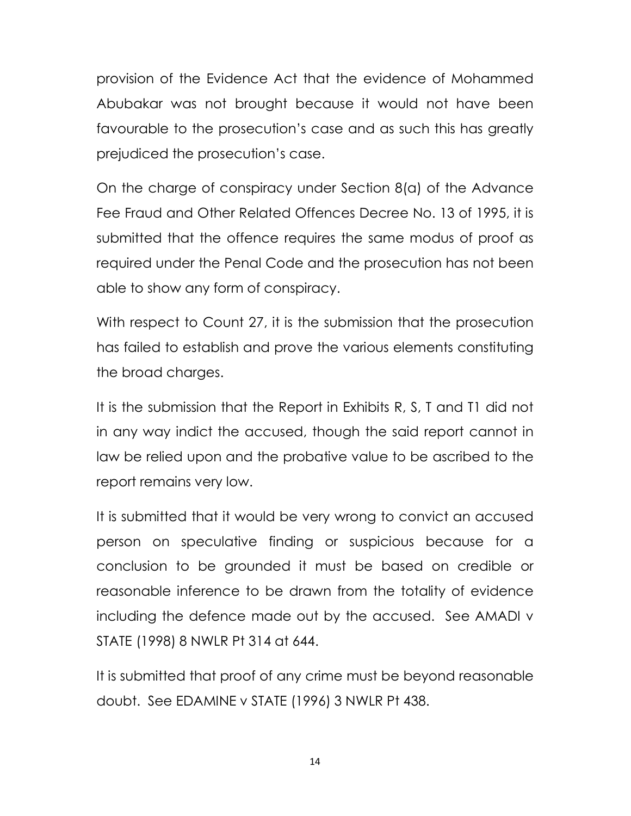provision of the Evidence Act that the evidence of Mohammed Abubakar was not brought because it would not have been favourable to the prosecution's case and as such this has greatly prejudiced the prosecution's case.

On the charge of conspiracy under Section 8(a) of the Advance Fee Fraud and Other Related Offences Decree No. 13 of 1995, it is submitted that the offence requires the same modus of proof as required under the Penal Code and the prosecution has not been able to show any form of conspiracy.

With respect to Count 27, it is the submission that the prosecution has failed to establish and prove the various elements constituting the broad charges.

It is the submission that the Report in Exhibits R, S, T and T1 did not in any way indict the accused, though the said report cannot in law be relied upon and the probative value to be ascribed to the report remains very low.

It is submitted that it would be very wrong to convict an accused person on speculative finding or suspicious because for a conclusion to be grounded it must be based on credible or reasonable inference to be drawn from the totality of evidence including the defence made out by the accused. See AMADI v STATE (1998) 8 NWLR Pt 314 at 644.

It is submitted that proof of any crime must be beyond reasonable doubt. See EDAMINE v STATE (1996) 3 NWLR Pt 438.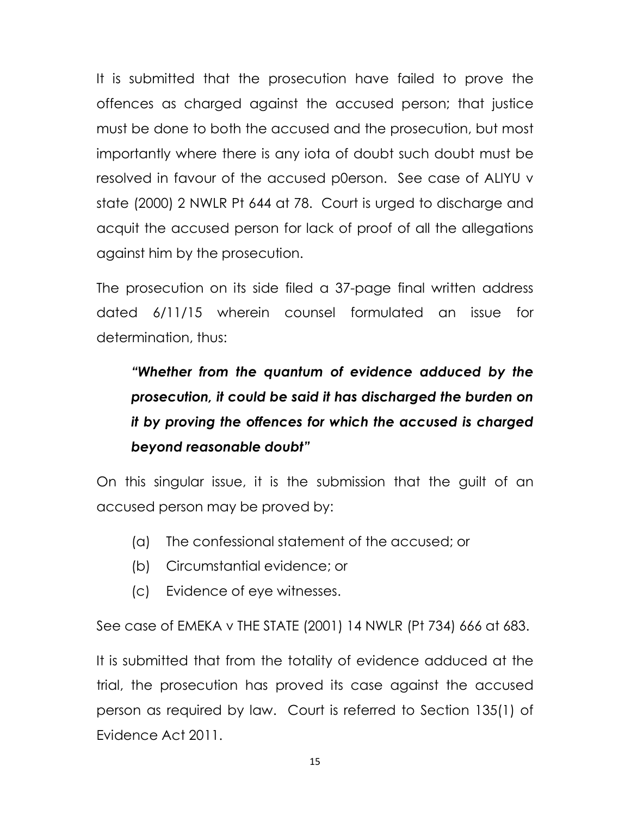It is submitted that the prosecution have failed to prove the offences as charged against the accused person; that justice must be done to both the accused and the prosecution, but most importantly where there is any iota of doubt such doubt must be resolved in favour of the accused p0erson. See case of ALIYU v state (2000) 2 NWLR Pt 644 at 78. Court is urged to discharge and acquit the accused person for lack of proof of all the allegations against him by the prosecution.

The prosecution on its side filed a 37-page final written address dated 6/11/15 wherein counsel formulated an issue for determination, thus:

# "Whether from the quantum of evidence adduced by the prosecution, it could be said it has discharged the burden on it by proving the offences for which the accused is charged beyond reasonable doubt"

On this singular issue, it is the submission that the guilt of an accused person may be proved by:

- (a) The confessional statement of the accused; or
- (b) Circumstantial evidence; or
- (c) Evidence of eye witnesses.

See case of EMEKA v THE STATE (2001) 14 NWLR (Pt 734) 666 at 683.

It is submitted that from the totality of evidence adduced at the trial, the prosecution has proved its case against the accused person as required by law. Court is referred to Section 135(1) of Evidence Act 2011.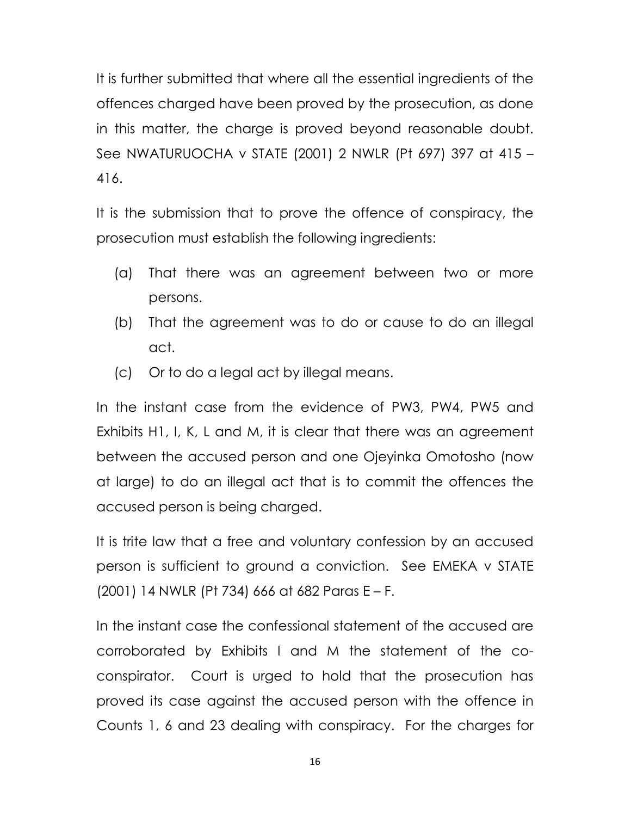It is further submitted that where all the essential ingredients of the offences charged have been proved by the prosecution, as done in this matter, the charge is proved beyond reasonable doubt. See NWATURUOCHA v STATE (2001) 2 NWLR (Pt 697) 397 at 415 – 416.

It is the submission that to prove the offence of conspiracy, the prosecution must establish the following ingredients:

- (a) That there was an agreement between two or more persons.
- (b) That the agreement was to do or cause to do an illegal act.
- (c) Or to do a legal act by illegal means.

In the instant case from the evidence of PW3, PW4, PW5 and Exhibits H1, I, K, L and M, it is clear that there was an agreement between the accused person and one Ojeyinka Omotosho (now at large) to do an illegal act that is to commit the offences the accused person is being charged.

It is trite law that a free and voluntary confession by an accused person is sufficient to ground a conviction. See EMEKA v STATE (2001) 14 NWLR (Pt 734) 666 at 682 Paras E – F.

In the instant case the confessional statement of the accused are corroborated by Exhibits I and M the statement of the coconspirator. Court is urged to hold that the prosecution has proved its case against the accused person with the offence in Counts 1, 6 and 23 dealing with conspiracy. For the charges for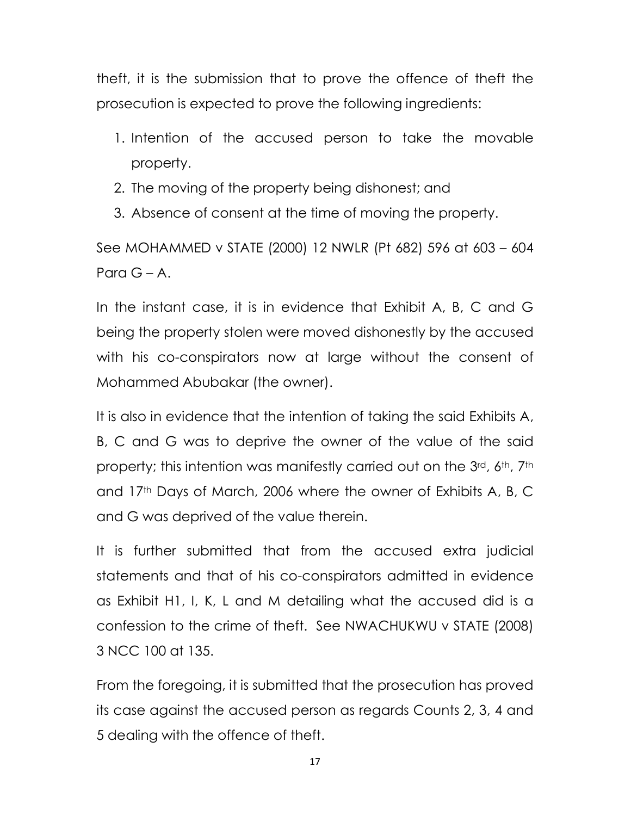theft, it is the submission that to prove the offence of theft the prosecution is expected to prove the following ingredients:

- 1. Intention of the accused person to take the movable property.
- 2. The moving of the property being dishonest; and
- 3. Absence of consent at the time of moving the property.

See MOHAMMED v STATE (2000) 12 NWLR (Pt 682) 596 at 603 – 604 Para  $G - A$ .

In the instant case, it is in evidence that Exhibit A, B, C and G being the property stolen were moved dishonestly by the accused with his co-conspirators now at large without the consent of Mohammed Abubakar (the owner).

It is also in evidence that the intention of taking the said Exhibits A, B, C and G was to deprive the owner of the value of the said property; this intention was manifestly carried out on the 3rd, 6th, 7th and 17<sup>th</sup> Days of March, 2006 where the owner of Exhibits A, B, C and G was deprived of the value therein.

It is further submitted that from the accused extra judicial statements and that of his co-conspirators admitted in evidence as Exhibit H1, I, K, L and M detailing what the accused did is a confession to the crime of theft. See NWACHUKWU v STATE (2008) 3 NCC 100 at 135.

From the foregoing, it is submitted that the prosecution has proved its case against the accused person as regards Counts 2, 3, 4 and 5 dealing with the offence of theft.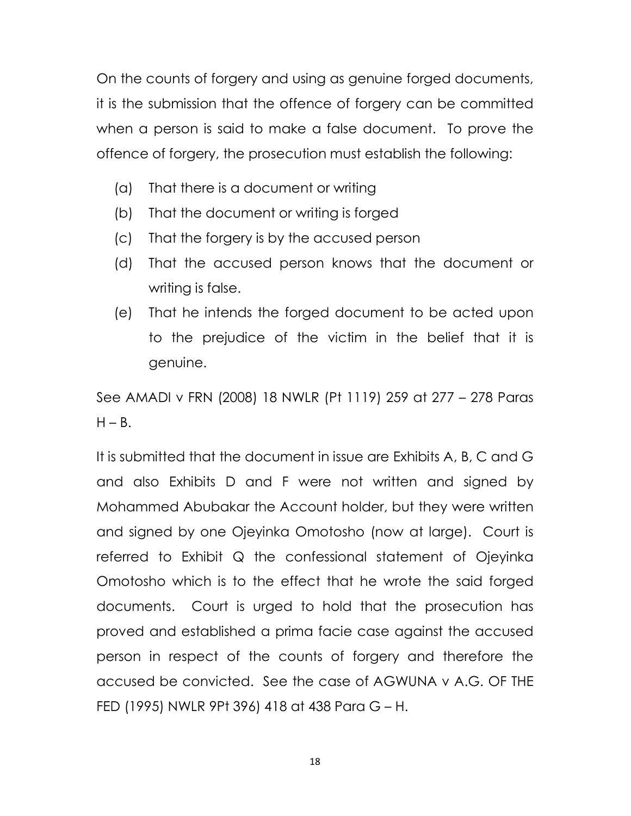On the counts of forgery and using as genuine forged documents, it is the submission that the offence of forgery can be committed when a person is said to make a false document. To prove the offence of forgery, the prosecution must establish the following:

- (a) That there is a document or writing
- (b) That the document or writing is forged
- (c) That the forgery is by the accused person
- (d) That the accused person knows that the document or writing is false.
- (e) That he intends the forged document to be acted upon to the prejudice of the victim in the belief that it is genuine.

See AMADI v FRN (2008) 18 NWLR (Pt 1119) 259 at 277 – 278 Paras  $H - B$ .

It is submitted that the document in issue are Exhibits A, B, C and G and also Exhibits D and F were not written and signed by Mohammed Abubakar the Account holder, but they were written and signed by one Ojeyinka Omotosho (now at large). Court is referred to Exhibit Q the confessional statement of Ojeyinka Omotosho which is to the effect that he wrote the said forged documents. Court is urged to hold that the prosecution has proved and established a prima facie case against the accused person in respect of the counts of forgery and therefore the accused be convicted. See the case of AGWUNA v A.G. OF THE FED (1995) NWLR 9Pt 396) 418 at 438 Para G – H.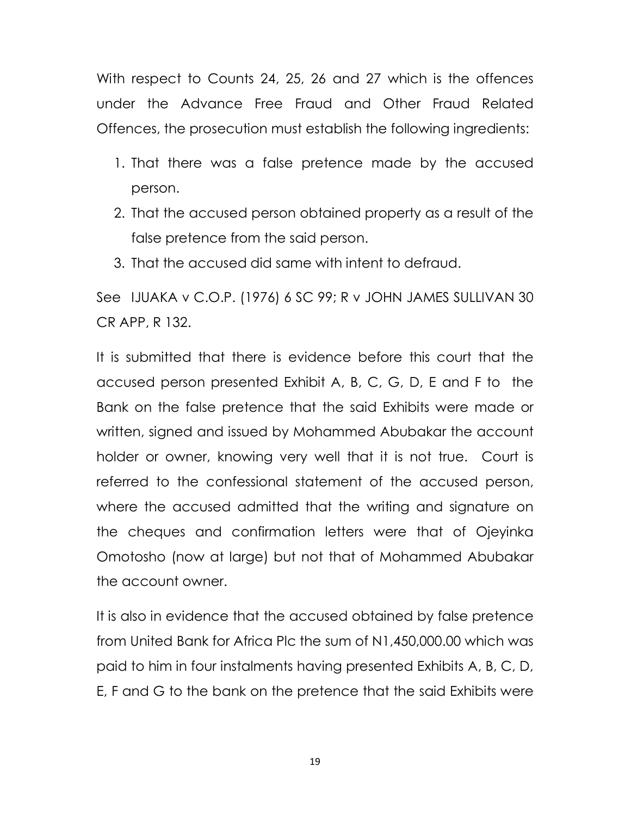With respect to Counts 24, 25, 26 and 27 which is the offences under the Advance Free Fraud and Other Fraud Related Offences, the prosecution must establish the following ingredients:

- 1. That there was a false pretence made by the accused person.
- 2. That the accused person obtained property as a result of the false pretence from the said person.
- 3. That the accused did same with intent to defraud.

See IJUAKA v C.O.P. (1976) 6 SC 99; R v JOHN JAMES SULLIVAN 30 CR APP, R 132.

It is submitted that there is evidence before this court that the accused person presented Exhibit A, B, C, G, D, E and F to the Bank on the false pretence that the said Exhibits were made or written, signed and issued by Mohammed Abubakar the account holder or owner, knowing very well that it is not true. Court is referred to the confessional statement of the accused person, where the accused admitted that the writing and signature on the cheques and confirmation letters were that of Ojeyinka Omotosho (now at large) but not that of Mohammed Abubakar the account owner.

It is also in evidence that the accused obtained by false pretence from United Bank for Africa Plc the sum of N1,450,000.00 which was paid to him in four instalments having presented Exhibits A, B, C, D, E, F and G to the bank on the pretence that the said Exhibits were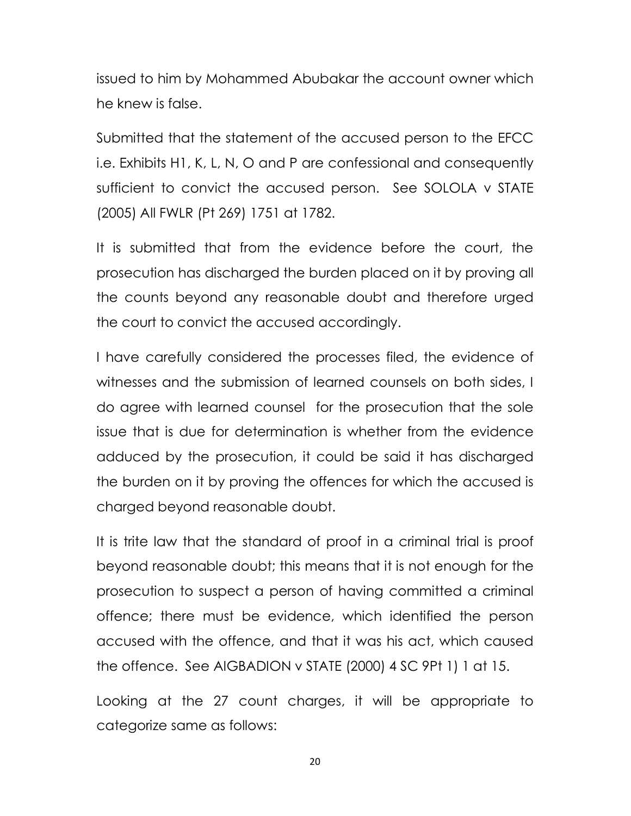issued to him by Mohammed Abubakar the account owner which he knew is false.

Submitted that the statement of the accused person to the EFCC i.e. Exhibits H1, K, L, N, O and P are confessional and consequently sufficient to convict the accused person. See SOLOLA v STATE (2005) All FWLR (Pt 269) 1751 at 1782.

It is submitted that from the evidence before the court, the prosecution has discharged the burden placed on it by proving all the counts beyond any reasonable doubt and therefore urged the court to convict the accused accordingly.

I have carefully considered the processes filed, the evidence of witnesses and the submission of learned counsels on both sides, I do agree with learned counsel for the prosecution that the sole issue that is due for determination is whether from the evidence adduced by the prosecution, it could be said it has discharged the burden on it by proving the offences for which the accused is charged beyond reasonable doubt.

It is trite law that the standard of proof in a criminal trial is proof beyond reasonable doubt; this means that it is not enough for the prosecution to suspect a person of having committed a criminal offence; there must be evidence, which identified the person accused with the offence, and that it was his act, which caused the offence. See AIGBADION v STATE (2000) 4 SC 9Pt 1) 1 at 15.

Looking at the 27 count charges, it will be appropriate to categorize same as follows: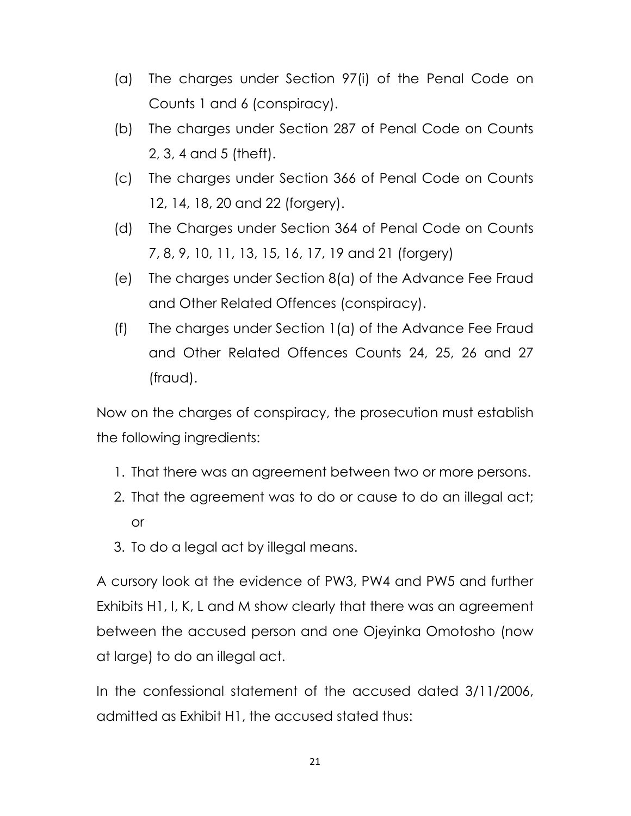- (a) The charges under Section 97(i) of the Penal Code on Counts 1 and 6 (conspiracy).
- (b) The charges under Section 287 of Penal Code on Counts 2, 3, 4 and 5 (theft).
- (c) The charges under Section 366 of Penal Code on Counts 12, 14, 18, 20 and 22 (forgery).
- (d) The Charges under Section 364 of Penal Code on Counts 7, 8, 9, 10, 11, 13, 15, 16, 17, 19 and 21 (forgery)
- (e) The charges under Section 8(a) of the Advance Fee Fraud and Other Related Offences (conspiracy).
- (f) The charges under Section 1(a) of the Advance Fee Fraud and Other Related Offences Counts 24, 25, 26 and 27 (fraud).

Now on the charges of conspiracy, the prosecution must establish the following ingredients:

- 1. That there was an agreement between two or more persons.
- 2. That the agreement was to do or cause to do an illegal act; or
- 3. To do a legal act by illegal means.

A cursory look at the evidence of PW3, PW4 and PW5 and further Exhibits H1, I, K, L and M show clearly that there was an agreement between the accused person and one Ojeyinka Omotosho (now at large) to do an illegal act.

In the confessional statement of the accused dated 3/11/2006, admitted as Exhibit H1, the accused stated thus: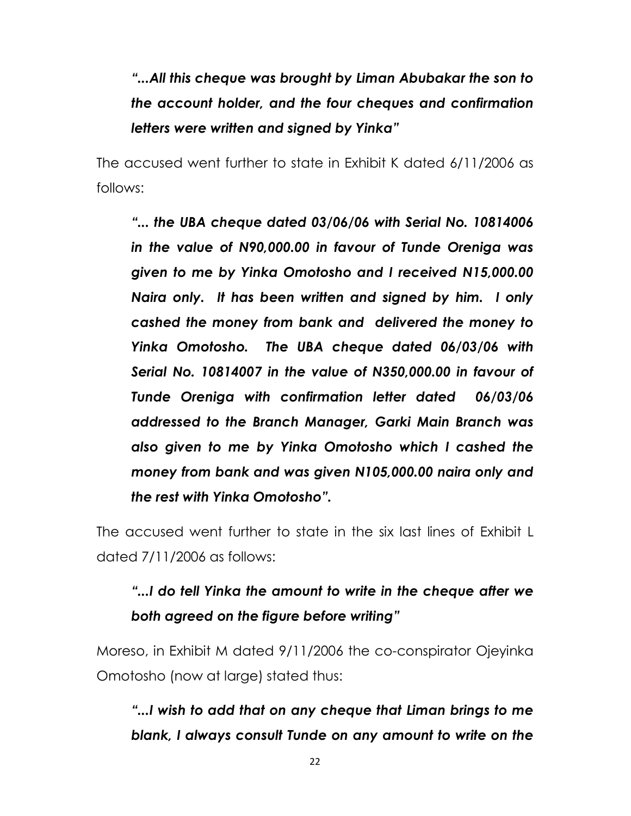"...All this cheque was brought by Liman Abubakar the son to the account holder, and the four cheques and confirmation letters were written and signed by Yinka"

The accused went further to state in Exhibit K dated 6/11/2006 as follows:

"... the UBA cheque dated 03/06/06 with Serial No. 10814006 in the value of N90,000.00 in favour of Tunde Oreniga was given to me by Yinka Omotosho and I received N15,000.00 Naira only. It has been written and signed by him. I only cashed the money from bank and delivered the money to Yinka Omotosho. The UBA cheque dated 06/03/06 with Serial No. 10814007 in the value of N350,000.00 in favour of Tunde Oreniga with confirmation letter dated 06/03/06 addressed to the Branch Manager, Garki Main Branch was also given to me by Yinka Omotosho which I cashed the money from bank and was given N105,000.00 naira only and the rest with Yinka Omotosho".

The accused went further to state in the six last lines of Exhibit L dated 7/11/2006 as follows:

## "...I do tell Yinka the amount to write in the cheque after we both agreed on the figure before writing"

Moreso, in Exhibit M dated 9/11/2006 the co-conspirator Ojeyinka Omotosho (now at large) stated thus:

"...I wish to add that on any cheque that Liman brings to me blank, I always consult Tunde on any amount to write on the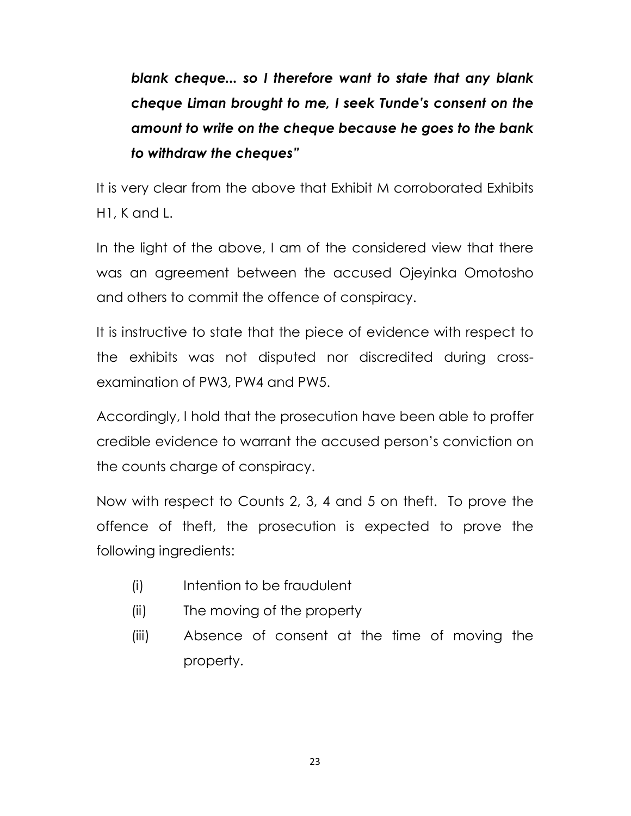blank cheque... so I therefore want to state that any blank cheque Liman brought to me, I seek Tunde's consent on the amount to write on the cheque because he goes to the bank to withdraw the cheques"

It is very clear from the above that Exhibit M corroborated Exhibits H1, K and L.

In the light of the above, I am of the considered view that there was an agreement between the accused Ojeyinka Omotosho and others to commit the offence of conspiracy.

It is instructive to state that the piece of evidence with respect to the exhibits was not disputed nor discredited during crossexamination of PW3, PW4 and PW5.

Accordingly, I hold that the prosecution have been able to proffer credible evidence to warrant the accused person's conviction on the counts charge of conspiracy.

Now with respect to Counts 2, 3, 4 and 5 on theft. To prove the offence of theft, the prosecution is expected to prove the following ingredients:

- (i) Intention to be fraudulent
- (ii) The moving of the property
- (iii) Absence of consent at the time of moving the property.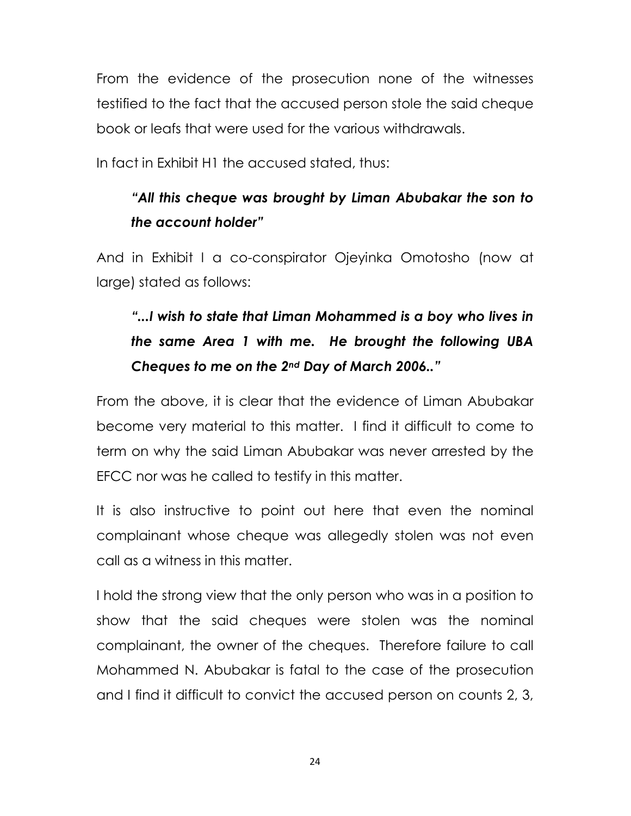From the evidence of the prosecution none of the witnesses testified to the fact that the accused person stole the said cheque book or leafs that were used for the various withdrawals.

In fact in Exhibit H1 the accused stated, thus:

## "All this cheque was brought by Liman Abubakar the son to the account holder"

And in Exhibit I a co-conspirator Ojeyinka Omotosho (now at large) stated as follows:

## "...I wish to state that Liman Mohammed is a boy who lives in the same Area 1 with me. He brought the following UBA Cheques to me on the 2nd Day of March 2006.."

From the above, it is clear that the evidence of Liman Abubakar become very material to this matter. I find it difficult to come to term on why the said Liman Abubakar was never arrested by the EFCC nor was he called to testify in this matter.

It is also instructive to point out here that even the nominal complainant whose cheque was allegedly stolen was not even call as a witness in this matter.

I hold the strong view that the only person who was in a position to show that the said cheques were stolen was the nominal complainant, the owner of the cheques. Therefore failure to call Mohammed N. Abubakar is fatal to the case of the prosecution and I find it difficult to convict the accused person on counts 2, 3,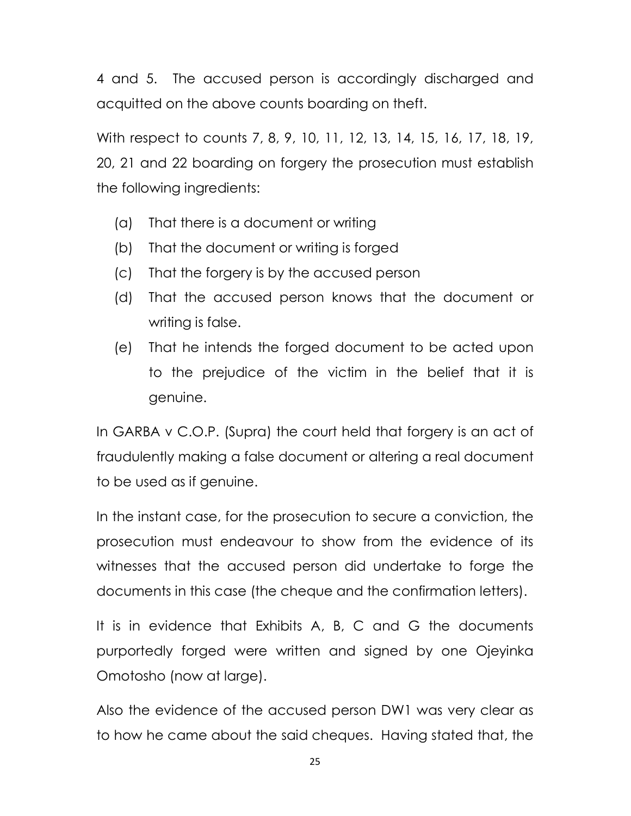4 and 5. The accused person is accordingly discharged and acquitted on the above counts boarding on theft.

With respect to counts 7, 8, 9, 10, 11, 12, 13, 14, 15, 16, 17, 18, 19, 20, 21 and 22 boarding on forgery the prosecution must establish the following ingredients:

- (a) That there is a document or writing
- (b) That the document or writing is forged
- (c) That the forgery is by the accused person
- (d) That the accused person knows that the document or writing is false.
- (e) That he intends the forged document to be acted upon to the prejudice of the victim in the belief that it is genuine.

In GARBA v C.O.P. (Supra) the court held that forgery is an act of fraudulently making a false document or altering a real document to be used as if genuine.

In the instant case, for the prosecution to secure a conviction, the prosecution must endeavour to show from the evidence of its witnesses that the accused person did undertake to forge the documents in this case (the cheque and the confirmation letters).

It is in evidence that Exhibits A, B, C and G the documents purportedly forged were written and signed by one Ojeyinka Omotosho (now at large).

Also the evidence of the accused person DW1 was very clear as to how he came about the said cheques. Having stated that, the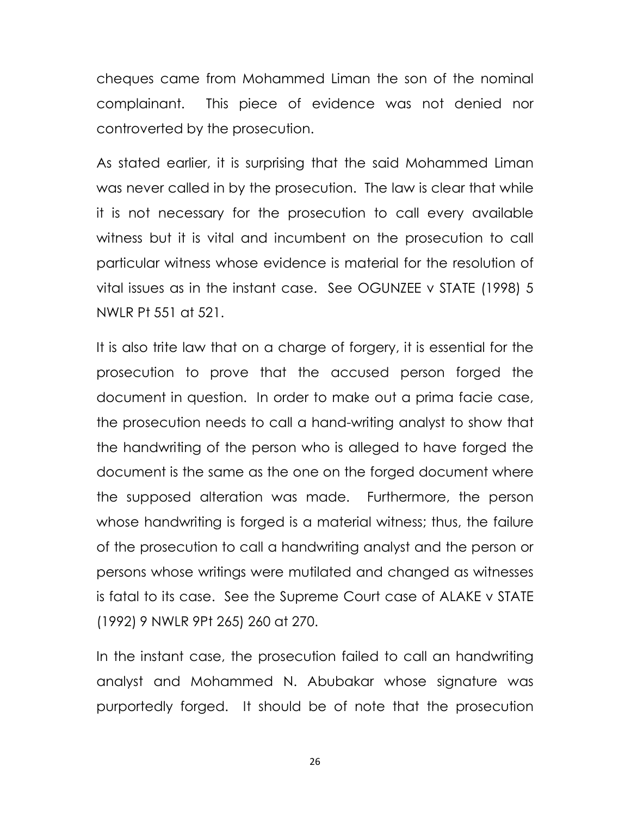cheques came from Mohammed Liman the son of the nominal complainant. This piece of evidence was not denied nor controverted by the prosecution.

As stated earlier, it is surprising that the said Mohammed Liman was never called in by the prosecution. The law is clear that while it is not necessary for the prosecution to call every available witness but it is vital and incumbent on the prosecution to call particular witness whose evidence is material for the resolution of vital issues as in the instant case. See OGUNZEE v STATE (1998) 5 NWLR Pt 551 at 521.

It is also trite law that on a charge of forgery, it is essential for the prosecution to prove that the accused person forged the document in question. In order to make out a prima facie case, the prosecution needs to call a hand-writing analyst to show that the handwriting of the person who is alleged to have forged the document is the same as the one on the forged document where the supposed alteration was made. Furthermore, the person whose handwriting is forged is a material witness; thus, the failure of the prosecution to call a handwriting analyst and the person or persons whose writings were mutilated and changed as witnesses is fatal to its case. See the Supreme Court case of ALAKE v STATE (1992) 9 NWLR 9Pt 265) 260 at 270.

In the instant case, the prosecution failed to call an handwriting analyst and Mohammed N. Abubakar whose signature was purportedly forged. It should be of note that the prosecution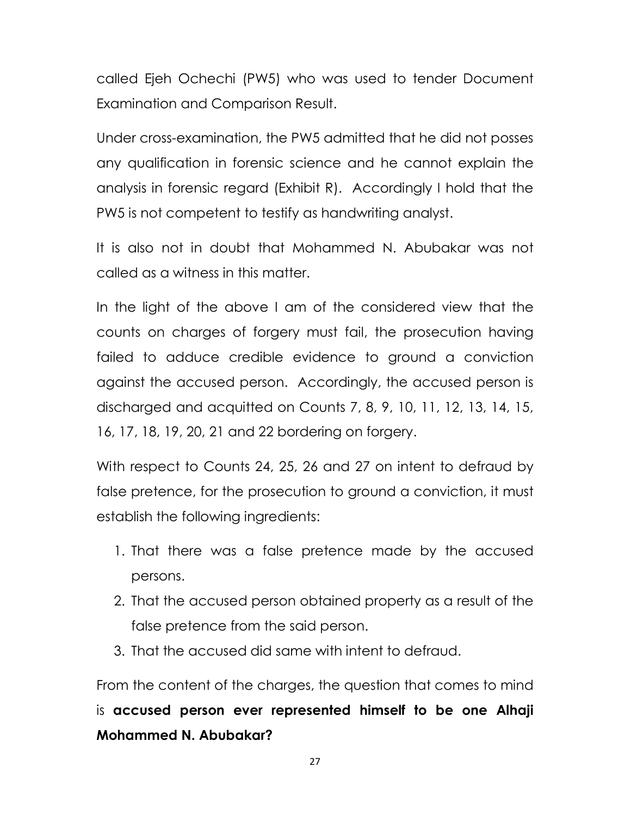called Ejeh Ochechi (PW5) who was used to tender Document Examination and Comparison Result.

Under cross-examination, the PW5 admitted that he did not posses any qualification in forensic science and he cannot explain the analysis in forensic regard (Exhibit R). Accordingly I hold that the PW5 is not competent to testify as handwriting analyst.

It is also not in doubt that Mohammed N. Abubakar was not called as a witness in this matter.

In the light of the above I am of the considered view that the counts on charges of forgery must fail, the prosecution having failed to adduce credible evidence to ground a conviction against the accused person. Accordingly, the accused person is discharged and acquitted on Counts 7, 8, 9, 10, 11, 12, 13, 14, 15, 16, 17, 18, 19, 20, 21 and 22 bordering on forgery.

With respect to Counts 24, 25, 26 and 27 on intent to defraud by false pretence, for the prosecution to ground a conviction, it must establish the following ingredients:

- 1. That there was a false pretence made by the accused persons.
- 2. That the accused person obtained property as a result of the false pretence from the said person.
- 3. That the accused did same with intent to defraud.

From the content of the charges, the question that comes to mind is accused person ever represented himself to be one Alhaji Mohammed N. Abubakar?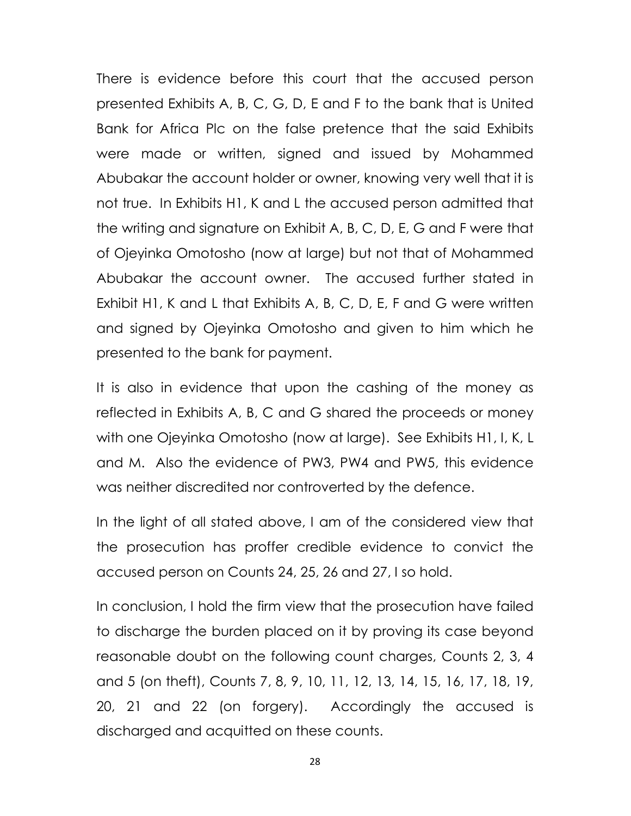There is evidence before this court that the accused person presented Exhibits A, B, C, G, D, E and F to the bank that is United Bank for Africa Plc on the false pretence that the said Exhibits were made or written, signed and issued by Mohammed Abubakar the account holder or owner, knowing very well that it is not true. In Exhibits H1, K and L the accused person admitted that the writing and signature on Exhibit A, B, C, D, E, G and F were that of Ojeyinka Omotosho (now at large) but not that of Mohammed Abubakar the account owner. The accused further stated in Exhibit H1, K and L that Exhibits A, B, C, D, E, F and G were written and signed by Ojeyinka Omotosho and given to him which he presented to the bank for payment.

It is also in evidence that upon the cashing of the money as reflected in Exhibits A, B, C and G shared the proceeds or money with one Ojeyinka Omotosho (now at large). See Exhibits H1, I, K, L and M. Also the evidence of PW3, PW4 and PW5, this evidence was neither discredited nor controverted by the defence.

In the light of all stated above, I am of the considered view that the prosecution has proffer credible evidence to convict the accused person on Counts 24, 25, 26 and 27, I so hold.

In conclusion, I hold the firm view that the prosecution have failed to discharge the burden placed on it by proving its case beyond reasonable doubt on the following count charges, Counts 2, 3, 4 and 5 (on theft), Counts 7, 8, 9, 10, 11, 12, 13, 14, 15, 16, 17, 18, 19, 20, 21 and 22 (on forgery). Accordingly the accused is discharged and acquitted on these counts.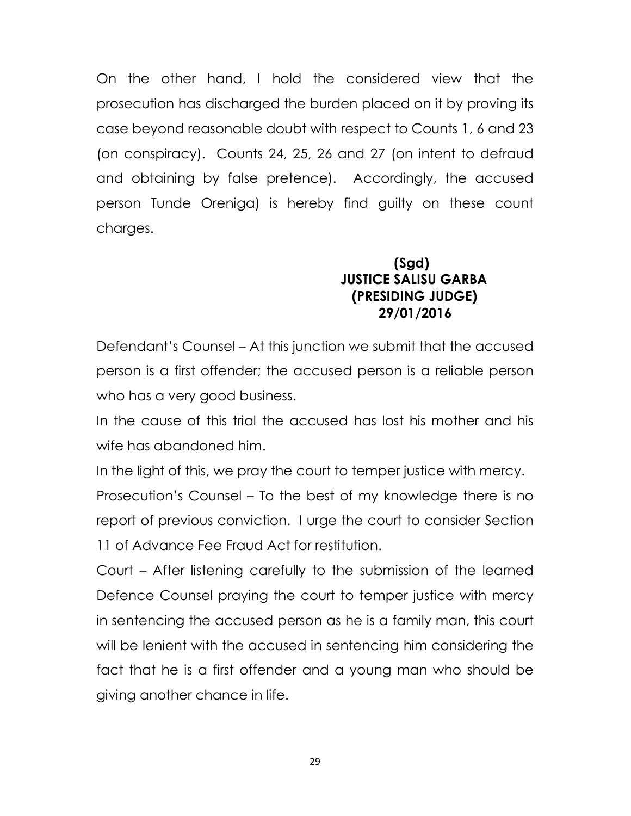On the other hand, I hold the considered view that the prosecution has discharged the burden placed on it by proving its case beyond reasonable doubt with respect to Counts 1, 6 and 23 (on conspiracy). Counts 24, 25, 26 and 27 (on intent to defraud and obtaining by false pretence). Accordingly, the accused person Tunde Oreniga) is hereby find guilty on these count charges.

### (Sgd) JUSTICE SALISU GARBA (PRESIDING JUDGE) 29/01/2016

Defendant's Counsel – At this junction we submit that the accused person is a first offender; the accused person is a reliable person who has a very good business.

In the cause of this trial the accused has lost his mother and his wife has abandoned him.

In the light of this, we pray the court to temper justice with mercy. Prosecution's Counsel – To the best of my knowledge there is no report of previous conviction. I urge the court to consider Section 11 of Advance Fee Fraud Act for restitution.

Court – After listening carefully to the submission of the learned Defence Counsel praying the court to temper justice with mercy in sentencing the accused person as he is a family man, this court will be lenient with the accused in sentencing him considering the fact that he is a first offender and a young man who should be giving another chance in life.